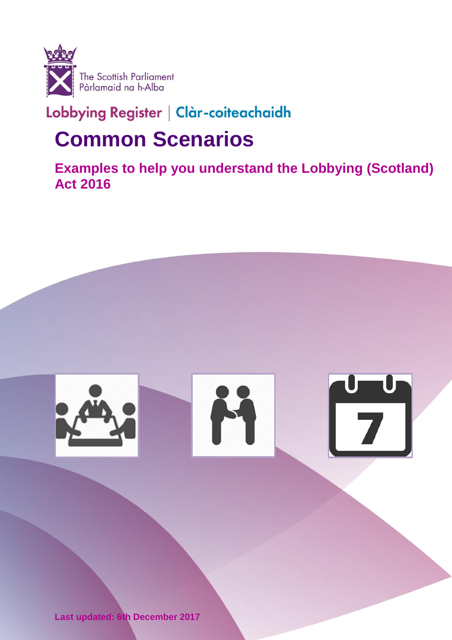

### **Common Scenarios**

**Examples to help you understand the Lobbying (Scotland) Act 2016**

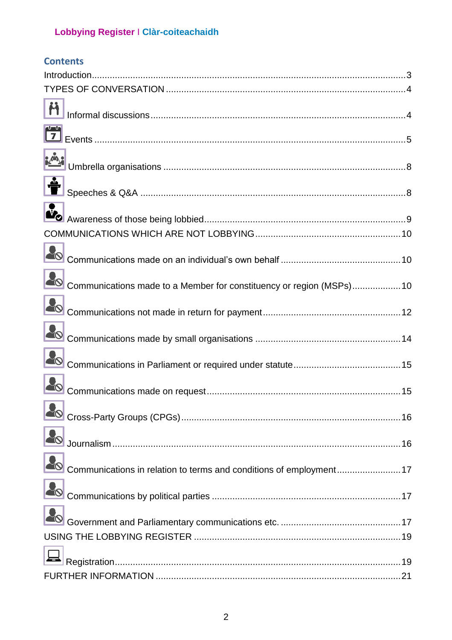#### **Contents**

| Communications made to a Member for constituency or region (MSPs)10 |  |
|---------------------------------------------------------------------|--|
|                                                                     |  |
|                                                                     |  |
|                                                                     |  |
|                                                                     |  |
|                                                                     |  |
|                                                                     |  |
| Communications in relation to terms and conditions of employment17  |  |
|                                                                     |  |
|                                                                     |  |
|                                                                     |  |
|                                                                     |  |
|                                                                     |  |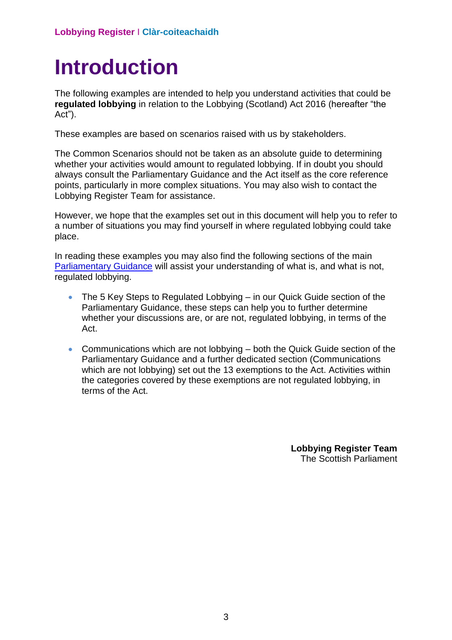# <span id="page-2-0"></span>**Introduction**

The following examples are intended to help you understand activities that could be **regulated lobbying** in relation to the Lobbying (Scotland) Act 2016 (hereafter "the Act").

These examples are based on scenarios raised with us by stakeholders.

The Common Scenarios should not be taken as an absolute guide to determining whether your activities would amount to regulated lobbying. If in doubt you should always consult the Parliamentary Guidance and the Act itself as the core reference points, particularly in more complex situations. You may also wish to contact the Lobbying Register Team for assistance.

However, we hope that the examples set out in this document will help you to refer to a number of situations you may find yourself in where regulated lobbying could take place.

In reading these examples you may also find the following sections of the main [Parliamentary Guidance](https://www.lobbying.scot/SPS/Home/Help) will assist your understanding of what is, and what is not, regulated lobbying.

- The 5 Key Steps to Regulated Lobbying in our Quick Guide section of the Parliamentary Guidance, these steps can help you to further determine whether your discussions are, or are not, regulated lobbying, in terms of the Act.
- Communications which are not lobbying both the Quick Guide section of the Parliamentary Guidance and a further dedicated section (Communications which are not lobbying) set out the 13 exemptions to the Act. Activities within the categories covered by these exemptions are not regulated lobbying, in terms of the Act.

**Lobbying Register Team** The Scottish Parliament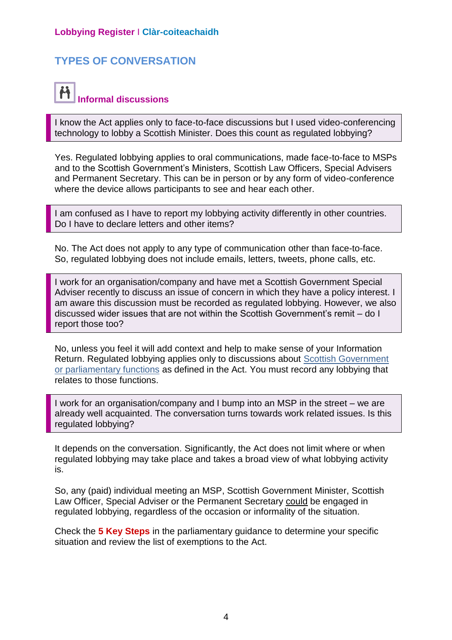### <span id="page-3-0"></span>**TYPES OF CONVERSATION**

<span id="page-3-1"></span>

I know the Act applies only to face-to-face discussions but I used video-conferencing technology to lobby a Scottish Minister. Does this count as regulated lobbying?

Yes. Regulated lobbying applies to oral communications, made face-to-face to MSPs and to the Scottish Government's Ministers, Scottish Law Officers, Special Advisers and Permanent Secretary. This can be in person or by any form of video-conference where the device allows participants to see and hear each other.

I am confused as I have to report my lobbying activity differently in other countries. Do I have to declare letters and other items?

No. The Act does not apply to any type of communication other than face-to-face. So, regulated lobbying does not include emails, letters, tweets, phone calls, etc.

I work for an organisation/company and have met a Scottish Government Special Adviser recently to discuss an issue of concern in which they have a policy interest. I am aware this discussion must be recorded as regulated lobbying. However, we also discussed wider issues that are not within the Scottish Government's remit – do I report those too?

No, unless you feel it will add context and help to make sense of your Information Return. Regulated lobbying applies only to discussions about [Scottish Government](http://www.legislation.gov.uk/asp/2016/16/section/2/enacted)  [or parliamentary functions](http://www.legislation.gov.uk/asp/2016/16/section/2/enacted) as defined in the Act. You must record any lobbying that relates to those functions.

I work for an organisation/company and I bump into an MSP in the street – we are already well acquainted. The conversation turns towards work related issues. Is this regulated lobbying?

It depends on the conversation. Significantly, the Act does not limit where or when regulated lobbying may take place and takes a broad view of what lobbying activity is.

So, any (paid) individual meeting an MSP, Scottish Government Minister, Scottish Law Officer, Special Adviser or the Permanent Secretary could be engaged in regulated lobbying, regardless of the occasion or informality of the situation.

Check the **5 Key Steps** in the parliamentary guidance to determine your specific situation and review the list of exemptions to the Act.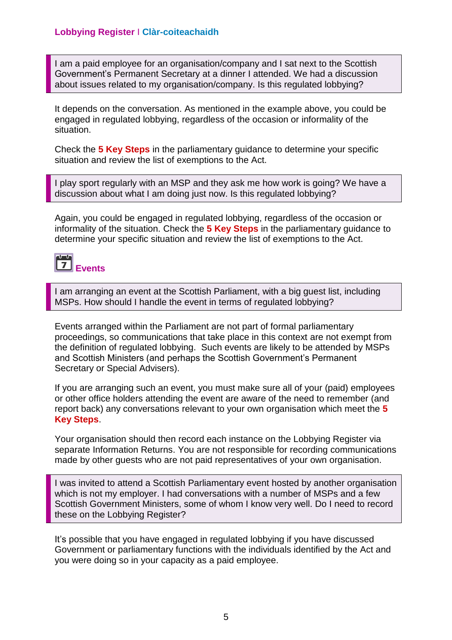I am a paid employee for an organisation/company and I sat next to the Scottish Government's Permanent Secretary at a dinner I attended. We had a discussion about issues related to my organisation/company. Is this regulated lobbying?

It depends on the conversation. As mentioned in the example above, you could be engaged in regulated lobbying, regardless of the occasion or informality of the situation.

Check the **5 Key Steps** in the parliamentary guidance to determine your specific situation and review the list of exemptions to the Act.

I play sport regularly with an MSP and they ask me how work is going? We have a discussion about what I am doing just now. Is this regulated lobbying?

Again, you could be engaged in regulated lobbying, regardless of the occasion or informality of the situation. Check the **5 Key Steps** in the parliamentary guidance to determine your specific situation and review the list of exemptions to the Act.

<span id="page-4-0"></span>

I am arranging an event at the Scottish Parliament, with a big guest list, including MSPs. How should I handle the event in terms of regulated lobbying?

Events arranged within the Parliament are not part of formal parliamentary proceedings, so communications that take place in this context are not exempt from the definition of regulated lobbying. Such events are likely to be attended by MSPs and Scottish Ministers (and perhaps the Scottish Government's Permanent Secretary or Special Advisers).

If you are arranging such an event, you must make sure all of your (paid) employees or other office holders attending the event are aware of the need to remember (and report back) any conversations relevant to your own organisation which meet the **5 Key Steps**.

Your organisation should then record each instance on the Lobbying Register via separate Information Returns. You are not responsible for recording communications made by other guests who are not paid representatives of your own organisation.

I was invited to attend a Scottish Parliamentary event hosted by another organisation which is not my employer. I had conversations with a number of MSPs and a few Scottish Government Ministers, some of whom I know very well. Do I need to record these on the Lobbying Register?

It's possible that you have engaged in regulated lobbying if you have discussed Government or parliamentary functions with the individuals identified by the Act and you were doing so in your capacity as a paid employee.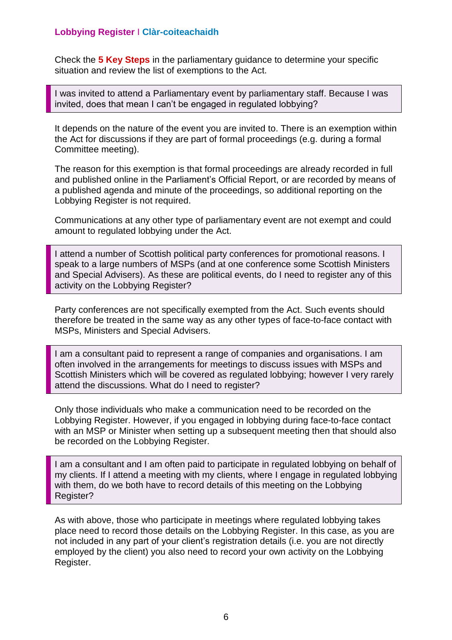Check the **5 Key Steps** in the parliamentary guidance to determine your specific situation and review the list of exemptions to the Act.

I was invited to attend a Parliamentary event by parliamentary staff. Because I was invited, does that mean I can't be engaged in regulated lobbying?

It depends on the nature of the event you are invited to. There is an exemption within the Act for discussions if they are part of formal proceedings (e.g. during a formal Committee meeting).

The reason for this exemption is that formal proceedings are already recorded in full and published online in the Parliament's Official Report, or are recorded by means of a published agenda and minute of the proceedings, so additional reporting on the Lobbying Register is not required.

Communications at any other type of parliamentary event are not exempt and could amount to regulated lobbying under the Act.

I attend a number of Scottish political party conferences for promotional reasons. I speak to a large numbers of MSPs (and at one conference some Scottish Ministers and Special Advisers). As these are political events, do I need to register any of this activity on the Lobbying Register?

Party conferences are not specifically exempted from the Act. Such events should therefore be treated in the same way as any other types of face-to-face contact with MSPs, Ministers and Special Advisers.

I am a consultant paid to represent a range of companies and organisations. I am often involved in the arrangements for meetings to discuss issues with MSPs and Scottish Ministers which will be covered as regulated lobbying; however I very rarely attend the discussions. What do I need to register?

Only those individuals who make a communication need to be recorded on the Lobbying Register. However, if you engaged in lobbying during face-to-face contact with an MSP or Minister when setting up a subsequent meeting then that should also be recorded on the Lobbying Register.

I am a consultant and I am often paid to participate in regulated lobbying on behalf of my clients. If I attend a meeting with my clients, where I engage in regulated lobbying with them, do we both have to record details of this meeting on the Lobbying Register?

As with above, those who participate in meetings where regulated lobbying takes place need to record those details on the Lobbying Register. In this case, as you are not included in any part of your client's registration details (i.e. you are not directly employed by the client) you also need to record your own activity on the Lobbying Register.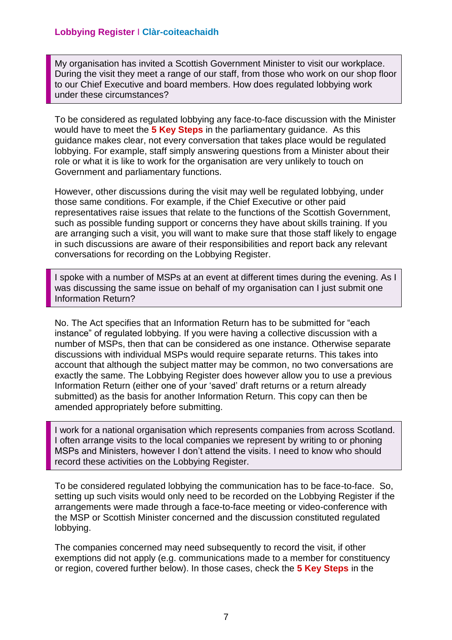My organisation has invited a Scottish Government Minister to visit our workplace. During the visit they meet a range of our staff, from those who work on our shop floor to our Chief Executive and board members. How does regulated lobbying work under these circumstances?

To be considered as regulated lobbying any face-to-face discussion with the Minister would have to meet the **5 Key Steps** in the parliamentary guidance. As this guidance makes clear, not every conversation that takes place would be regulated lobbying. For example, staff simply answering questions from a Minister about their role or what it is like to work for the organisation are very unlikely to touch on Government and parliamentary functions.

However, other discussions during the visit may well be regulated lobbying, under those same conditions. For example, if the Chief Executive or other paid representatives raise issues that relate to the functions of the Scottish Government, such as possible funding support or concerns they have about skills training. If you are arranging such a visit, you will want to make sure that those staff likely to engage in such discussions are aware of their responsibilities and report back any relevant conversations for recording on the Lobbying Register.

I spoke with a number of MSPs at an event at different times during the evening. As I was discussing the same issue on behalf of my organisation can I just submit one Information Return?

No. The Act specifies that an Information Return has to be submitted for "each instance" of regulated lobbying. If you were having a collective discussion with a number of MSPs, then that can be considered as one instance. Otherwise separate discussions with individual MSPs would require separate returns. This takes into account that although the subject matter may be common, no two conversations are exactly the same. The Lobbying Register does however allow you to use a previous Information Return (either one of your 'saved' draft returns or a return already submitted) as the basis for another Information Return. This copy can then be amended appropriately before submitting.

I work for a national organisation which represents companies from across Scotland. I often arrange visits to the local companies we represent by writing to or phoning MSPs and Ministers, however I don't attend the visits. I need to know who should record these activities on the Lobbying Register.

To be considered regulated lobbying the communication has to be face-to-face. So, setting up such visits would only need to be recorded on the Lobbying Register if the arrangements were made through a face-to-face meeting or video-conference with the MSP or Scottish Minister concerned and the discussion constituted regulated lobbying.

The companies concerned may need subsequently to record the visit, if other exemptions did not apply (e.g. communications made to a member for constituency or region, covered further below). In those cases, check the **5 Key Steps** in the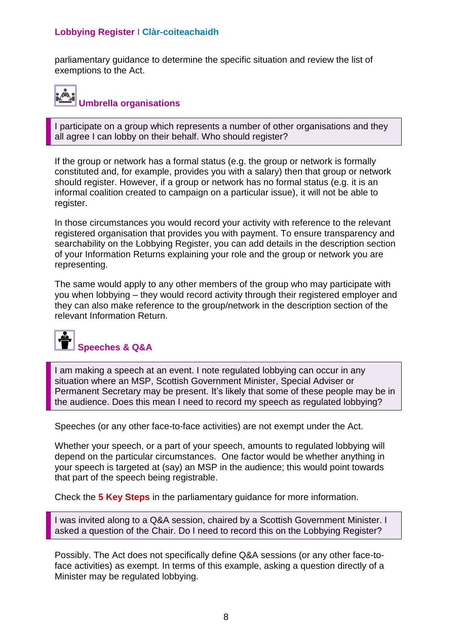parliamentary guidance to determine the specific situation and review the list of exemptions to the Act.

# <span id="page-7-0"></span>**Umbrella organisations**

I participate on a group which represents a number of other organisations and they all agree I can lobby on their behalf. Who should register?

If the group or network has a formal status (e.g. the group or network is formally constituted and, for example, provides you with a salary) then that group or network should register. However, if a group or network has no formal status (e.g. it is an informal coalition created to campaign on a particular issue), it will not be able to register.

In those circumstances you would record your activity with reference to the relevant registered organisation that provides you with payment. To ensure transparency and searchability on the Lobbying Register, you can add details in the description section of your Information Returns explaining your role and the group or network you are representing.

The same would apply to any other members of the group who may participate with you when lobbying – they would record activity through their registered employer and they can also make reference to the group/network in the description section of the relevant Information Return.

# <span id="page-7-1"></span>**Speeches & Q&A**

I am making a speech at an event. I note regulated lobbying can occur in any situation where an MSP, Scottish Government Minister, Special Adviser or Permanent Secretary may be present. It's likely that some of these people may be in the audience. Does this mean I need to record my speech as regulated lobbying?

Speeches (or any other face-to-face activities) are not exempt under the Act.

Whether your speech, or a part of your speech, amounts to regulated lobbying will depend on the particular circumstances. One factor would be whether anything in your speech is targeted at (say) an MSP in the audience; this would point towards that part of the speech being registrable.

Check the **5 Key Steps** in the parliamentary guidance for more information.

I was invited along to a Q&A session, chaired by a Scottish Government Minister. I asked a question of the Chair. Do I need to record this on the Lobbying Register?

Possibly. The Act does not specifically define Q&A sessions (or any other face-toface activities) as exempt. In terms of this example, asking a question directly of a Minister may be regulated lobbying.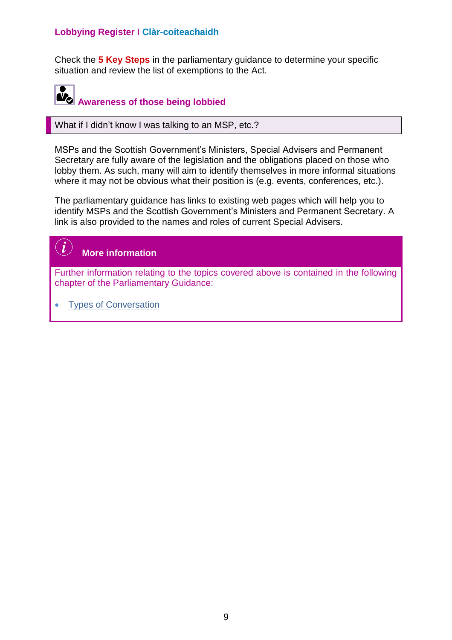Check the **5 Key Steps** in the parliamentary guidance to determine your specific situation and review the list of exemptions to the Act.

<span id="page-8-0"></span>

What if I didn't know I was talking to an MSP, etc.?

MSPs and the Scottish Government's Ministers, Special Advisers and Permanent Secretary are fully aware of the legislation and the obligations placed on those who lobby them. As such, many will aim to identify themselves in more informal situations where it may not be obvious what their position is (e.g. events, conferences, etc.).

The parliamentary guidance has links to existing web pages which will help you to identify MSPs and the Scottish Government's Ministers and Permanent Secretary. A link is also provided to the names and roles of current Special Advisers.

### $\binom{1}{k}$ **More information** Further information relating to the topics covered above is contained in the following chapter of the Parliamentary Guidance: • [Types of Conversation](http://www.scottish.parliament.uk/gettinginvolved/105978.aspx)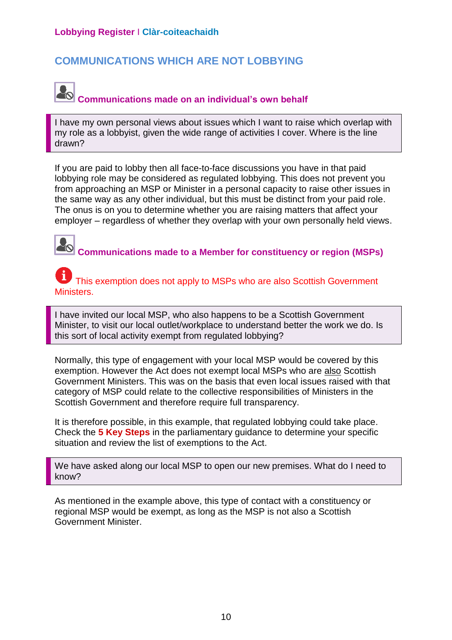### <span id="page-9-0"></span>**COMMUNICATIONS WHICH ARE NOT LOBBYING**

## <span id="page-9-1"></span>**Communications made on an individual's own behalf**

I have my own personal views about issues which I want to raise which overlap with my role as a lobbyist, given the wide range of activities I cover. Where is the line drawn?

If you are paid to lobby then all face-to-face discussions you have in that paid lobbying role may be considered as regulated lobbying. This does not prevent you from approaching an MSP or Minister in a personal capacity to raise other issues in the same way as any other individual, but this must be distinct from your paid role. The onus is on you to determine whether you are raising matters that affect your employer – regardless of whether they overlap with your own personally held views.

<span id="page-9-2"></span>**Communications made to a Member for constituency or region (MSPs)**

This exemption does not apply to MSPs who are also Scottish Government Ministers.

I have invited our local MSP, who also happens to be a Scottish Government Minister, to visit our local outlet/workplace to understand better the work we do. Is this sort of local activity exempt from regulated lobbying?

Normally, this type of engagement with your local MSP would be covered by this exemption. However the Act does not exempt local MSPs who are also Scottish Government Ministers. This was on the basis that even local issues raised with that category of MSP could relate to the collective responsibilities of Ministers in the Scottish Government and therefore require full transparency.

It is therefore possible, in this example, that regulated lobbying could take place. Check the **5 Key Steps** in the parliamentary guidance to determine your specific situation and review the list of exemptions to the Act.

We have asked along our local MSP to open our new premises. What do I need to know?

As mentioned in the example above, this type of contact with a constituency or regional MSP would be exempt, as long as the MSP is not also a Scottish Government Minister.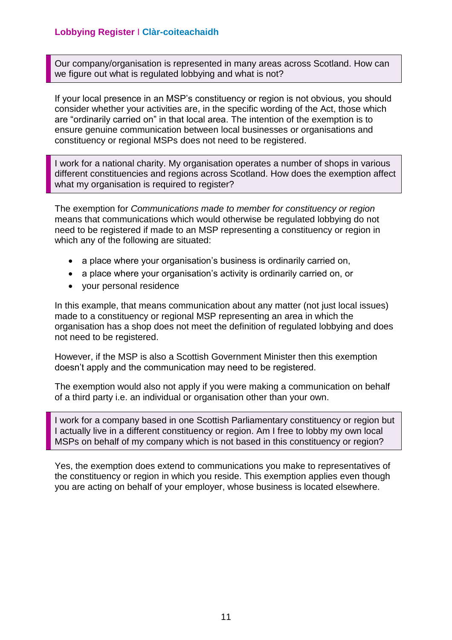Our company/organisation is represented in many areas across Scotland. How can we figure out what is regulated lobbying and what is not?

If your local presence in an MSP's constituency or region is not obvious, you should consider whether your activities are, in the specific wording of the Act, those which are "ordinarily carried on" in that local area. The intention of the exemption is to ensure genuine communication between local businesses or organisations and constituency or regional MSPs does not need to be registered.

I work for a national charity. My organisation operates a number of shops in various different constituencies and regions across Scotland. How does the exemption affect what my organisation is required to register?

The exemption for *Communications made to member for constituency or region* means that communications which would otherwise be regulated lobbying do not need to be registered if made to an MSP representing a constituency or region in which any of the following are situated:

- a place where your organisation's business is ordinarily carried on,
- a place where your organisation's activity is ordinarily carried on, or
- your personal residence

In this example, that means communication about any matter (not just local issues) made to a constituency or regional MSP representing an area in which the organisation has a shop does not meet the definition of regulated lobbying and does not need to be registered.

However, if the MSP is also a Scottish Government Minister then this exemption doesn't apply and the communication may need to be registered.

The exemption would also not apply if you were making a communication on behalf of a third party i.e. an individual or organisation other than your own.

I work for a company based in one Scottish Parliamentary constituency or region but I actually live in a different constituency or region. Am I free to lobby my own local MSPs on behalf of my company which is not based in this constituency or region?

Yes, the exemption does extend to communications you make to representatives of the constituency or region in which you reside. This exemption applies even though you are acting on behalf of your employer, whose business is located elsewhere.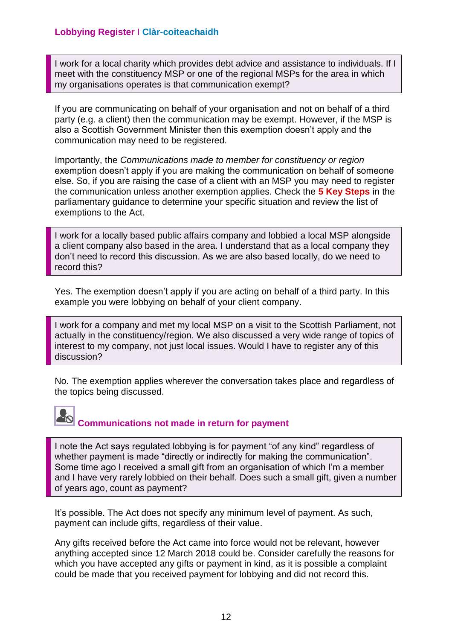I work for a local charity which provides debt advice and assistance to individuals. If I meet with the constituency MSP or one of the regional MSPs for the area in which my organisations operates is that communication exempt?

If you are communicating on behalf of your organisation and not on behalf of a third party (e.g. a client) then the communication may be exempt. However, if the MSP is also a Scottish Government Minister then this exemption doesn't apply and the communication may need to be registered.

Importantly, the *Communications made to member for constituency or region* exemption doesn't apply if you are making the communication on behalf of someone else. So, if you are raising the case of a client with an MSP you may need to register the communication unless another exemption applies. Check the **5 Key Steps** in the parliamentary guidance to determine your specific situation and review the list of exemptions to the Act.

I work for a locally based public affairs company and lobbied a local MSP alongside a client company also based in the area. I understand that as a local company they don't need to record this discussion. As we are also based locally, do we need to record this?

Yes. The exemption doesn't apply if you are acting on behalf of a third party. In this example you were lobbying on behalf of your client company.

I work for a company and met my local MSP on a visit to the Scottish Parliament, not actually in the constituency/region. We also discussed a very wide range of topics of interest to my company, not just local issues. Would I have to register any of this discussion?

No. The exemption applies wherever the conversation takes place and regardless of the topics being discussed.

<span id="page-11-0"></span>

I note the Act says regulated lobbying is for payment "of any kind" regardless of whether payment is made "directly or indirectly for making the communication". Some time ago I received a small gift from an organisation of which I'm a member and I have very rarely lobbied on their behalf. Does such a small gift, given a number of years ago, count as payment?

It's possible. The Act does not specify any minimum level of payment. As such, payment can include gifts, regardless of their value.

Any gifts received before the Act came into force would not be relevant, however anything accepted since 12 March 2018 could be. Consider carefully the reasons for which you have accepted any gifts or payment in kind, as it is possible a complaint could be made that you received payment for lobbying and did not record this.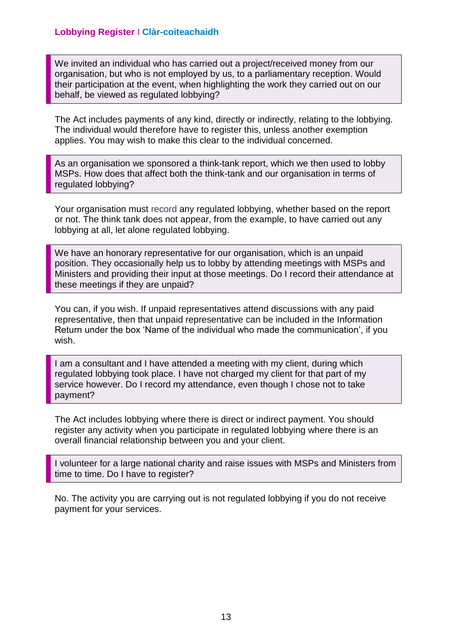We invited an individual who has carried out a project/received money from our organisation, but who is not employed by us, to a parliamentary reception. Would their participation at the event, when highlighting the work they carried out on our behalf, be viewed as regulated lobbying?

The Act includes payments of any kind, directly or indirectly, relating to the lobbying. The individual would therefore have to register this, unless another exemption applies. You may wish to make this clear to the individual concerned.

As an organisation we sponsored a think-tank report, which we then used to lobby MSPs. How does that affect both the think-tank and our organisation in terms of regulated lobbying?

Your organisation must record any regulated lobbying, whether based on the report or not. The think tank does not appear, from the example, to have carried out any lobbying at all, let alone regulated lobbying.

We have an honorary representative for our organisation, which is an unpaid position. They occasionally help us to lobby by attending meetings with MSPs and Ministers and providing their input at those meetings. Do I record their attendance at these meetings if they are unpaid?

You can, if you wish. If unpaid representatives attend discussions with any paid representative, then that unpaid representative can be included in the Information Return under the box 'Name of the individual who made the communication', if you wish.

I am a consultant and I have attended a meeting with my client, during which regulated lobbying took place. I have not charged my client for that part of my service however. Do I record my attendance, even though I chose not to take payment?

The Act includes lobbying where there is direct or indirect payment. You should register any activity when you participate in regulated lobbying where there is an overall financial relationship between you and your client.

I volunteer for a large national charity and raise issues with MSPs and Ministers from time to time. Do I have to register?

No. The activity you are carrying out is not regulated lobbying if you do not receive payment for your services.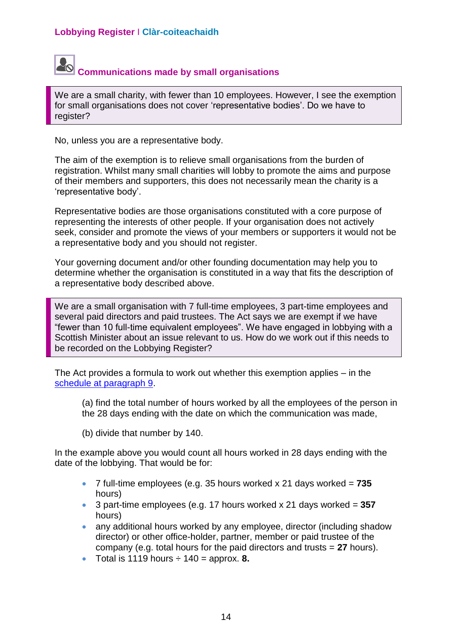# <span id="page-13-0"></span>**Communications made by small organisations**

We are a small charity, with fewer than 10 employees. However, I see the exemption for small organisations does not cover 'representative bodies'. Do we have to register?

No, unless you are a representative body.

The aim of the exemption is to relieve small organisations from the burden of registration. Whilst many small charities will lobby to promote the aims and purpose of their members and supporters, this does not necessarily mean the charity is a 'representative body'.

Representative bodies are those organisations constituted with a core purpose of representing the interests of other people. If your organisation does not actively seek, consider and promote the views of your members or supporters it would not be a representative body and you should not register.

Your governing document and/or other founding documentation may help you to determine whether the organisation is constituted in a way that fits the description of a representative body described above.

We are a small organisation with 7 full-time employees, 3 part-time employees and several paid directors and paid trustees. The Act says we are exempt if we have "fewer than 10 full-time equivalent employees". We have engaged in lobbying with a Scottish Minister about an issue relevant to us. How do we work out if this needs to be recorded on the Lobbying Register?

The Act provides a formula to work out whether this exemption applies – in the [schedule at paragraph 9.](http://www.legislation.gov.uk/asp/2016/16/schedule/paragraph/9/enacted)

(a) find the total number of hours worked by all the employees of the person in the 28 days ending with the date on which the communication was made,

(b) divide that number by 140.

In the example above you would count all hours worked in 28 days ending with the date of the lobbying. That would be for:

- 7 full-time employees (e.g. 35 hours worked x 21 days worked = **735** hours)
- 3 part-time employees (e.g. 17 hours worked x 21 days worked = **357** hours)
- any additional hours worked by any employee, director (including shadow director) or other office-holder, partner, member or paid trustee of the company (e.g. total hours for the paid directors and trusts = **27** hours).
- $\bullet$  Total is 1119 hours  $\div$  140 = approx. **8.**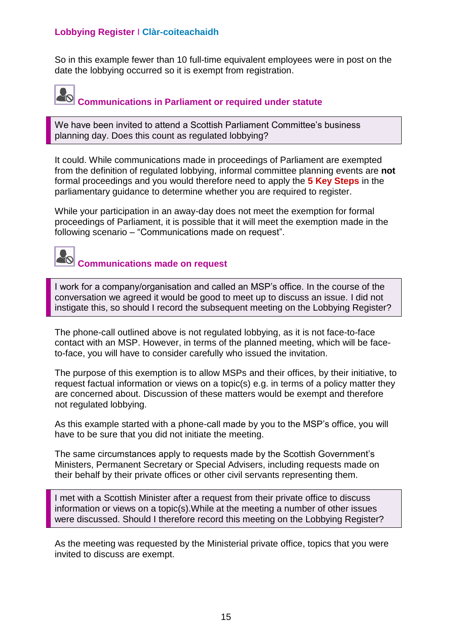So in this example fewer than 10 full-time equivalent employees were in post on the date the lobbying occurred so it is exempt from registration.

### <span id="page-14-0"></span>**Communications in Parliament or required under statute**

We have been invited to attend a Scottish Parliament Committee's business planning day. Does this count as regulated lobbying?

It could. While communications made in proceedings of Parliament are exempted from the definition of regulated lobbying, informal committee planning events are **not** formal proceedings and you would therefore need to apply the **5 Key Steps** in the parliamentary guidance to determine whether you are required to register.

While your participation in an away-day does not meet the exemption for formal proceedings of Parliament, it is possible that it will meet the exemption made in the following scenario – "Communications made on request".

<span id="page-14-1"></span>

I work for a company/organisation and called an MSP's office. In the course of the conversation we agreed it would be good to meet up to discuss an issue. I did not instigate this, so should I record the subsequent meeting on the Lobbying Register?

The phone-call outlined above is not regulated lobbying, as it is not face-to-face contact with an MSP. However, in terms of the planned meeting, which will be faceto-face, you will have to consider carefully who issued the invitation.

The purpose of this exemption is to allow MSPs and their offices, by their initiative, to request factual information or views on a topic(s) e.g. in terms of a policy matter they are concerned about. Discussion of these matters would be exempt and therefore not regulated lobbying.

As this example started with a phone-call made by you to the MSP's office, you will have to be sure that you did not initiate the meeting.

The same circumstances apply to requests made by the Scottish Government's Ministers, Permanent Secretary or Special Advisers, including requests made on their behalf by their private offices or other civil servants representing them.

I met with a Scottish Minister after a request from their private office to discuss information or views on a topic(s).While at the meeting a number of other issues were discussed. Should I therefore record this meeting on the Lobbying Register?

As the meeting was requested by the Ministerial private office, topics that you were invited to discuss are exempt.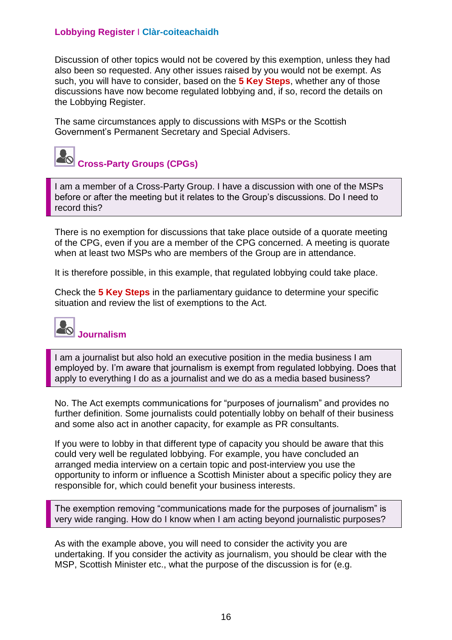Discussion of other topics would not be covered by this exemption, unless they had also been so requested. Any other issues raised by you would not be exempt. As such, you will have to consider, based on the **5 Key Steps**, whether any of those discussions have now become regulated lobbying and, if so, record the details on the Lobbying Register.

The same circumstances apply to discussions with MSPs or the Scottish Government's Permanent Secretary and Special Advisers.

<span id="page-15-0"></span>

I am a member of a Cross-Party Group. I have a discussion with one of the MSPs before or after the meeting but it relates to the Group's discussions. Do I need to record this?

There is no exemption for discussions that take place outside of a quorate meeting of the CPG, even if you are a member of the CPG concerned. A meeting is quorate when at least two MSPs who are members of the Group are in attendance.

It is therefore possible, in this example, that regulated lobbying could take place.

Check the **5 Key Steps** in the parliamentary guidance to determine your specific situation and review the list of exemptions to the Act.

<span id="page-15-1"></span>

I am a journalist but also hold an executive position in the media business I am employed by. I'm aware that journalism is exempt from regulated lobbying. Does that apply to everything I do as a journalist and we do as a media based business?

No. The Act exempts communications for "purposes of journalism" and provides no further definition. Some journalists could potentially lobby on behalf of their business and some also act in another capacity, for example as PR consultants.

If you were to lobby in that different type of capacity you should be aware that this could very well be regulated lobbying. For example, you have concluded an arranged media interview on a certain topic and post-interview you use the opportunity to inform or influence a Scottish Minister about a specific policy they are responsible for, which could benefit your business interests.

The exemption removing "communications made for the purposes of journalism" is very wide ranging. How do I know when I am acting beyond journalistic purposes?

As with the example above, you will need to consider the activity you are undertaking. If you consider the activity as journalism, you should be clear with the MSP, Scottish Minister etc., what the purpose of the discussion is for (e.g.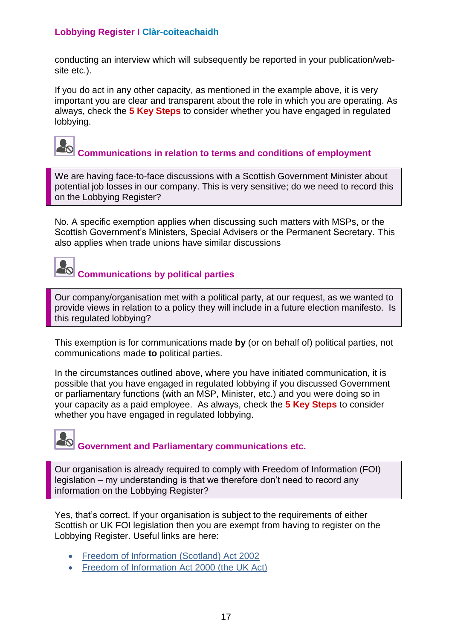conducting an interview which will subsequently be reported in your publication/website etc.).

If you do act in any other capacity, as mentioned in the example above, it is very important you are clear and transparent about the role in which you are operating. As always, check the **5 Key Steps** to consider whether you have engaged in regulated lobbying.

<span id="page-16-0"></span>

We are having face-to-face discussions with a Scottish Government Minister about potential job losses in our company. This is very sensitive; do we need to record this on the Lobbying Register?

No. A specific exemption applies when discussing such matters with MSPs, or the Scottish Government's Ministers, Special Advisers or the Permanent Secretary. This also applies when trade unions have similar discussions

### <span id="page-16-1"></span>**Communications by political parties**

Our company/organisation met with a political party, at our request, as we wanted to provide views in relation to a policy they will include in a future election manifesto. Is this regulated lobbying?

This exemption is for communications made **by** (or on behalf of) political parties, not communications made **to** political parties.

In the circumstances outlined above, where you have initiated communication, it is possible that you have engaged in regulated lobbying if you discussed Government or parliamentary functions (with an MSP, Minister, etc.) and you were doing so in your capacity as a paid employee. As always, check the **5 Key Steps** to consider whether you have engaged in regulated lobbying.

### <span id="page-16-2"></span>**Government and Parliamentary communications etc.**

Our organisation is already required to comply with Freedom of Information (FOI) legislation – my understanding is that we therefore don't need to record any information on the Lobbying Register?

Yes, that's correct. If your organisation is subject to the requirements of either Scottish or UK FOI legislation then you are exempt from having to register on the Lobbying Register. Useful links are here:

- [Freedom of Information \(Scotland\) Act 2002](http://www.legislation.gov.uk/asp/2002/13/schedule/1)
- [Freedom of Information Act 2000 \(the UK Act\)](http://www.legislation.gov.uk/ukpga/2000/36/schedule/1)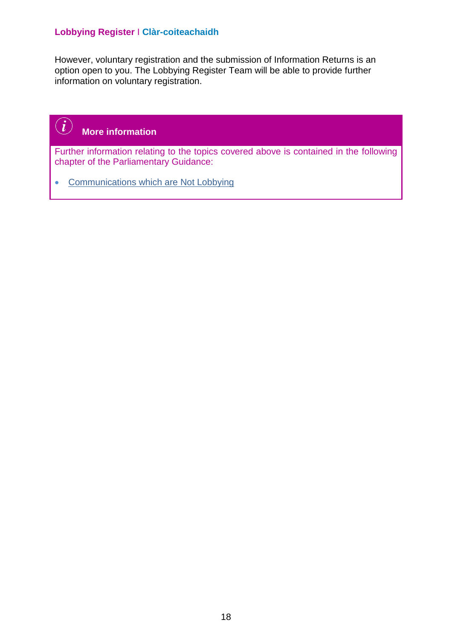However, voluntary registration and the submission of Information Returns is an option open to you. The Lobbying Register Team will be able to provide further information on voluntary registration.

#### $\left(\widehat{\bm{l}}\right)$ **More information**

Further information relating to the topics covered above is contained in the following chapter of the Parliamentary Guidance:

• [Communications which are Not Lobbying](http://www.scottish.parliament.uk/gettinginvolved/105978.aspx)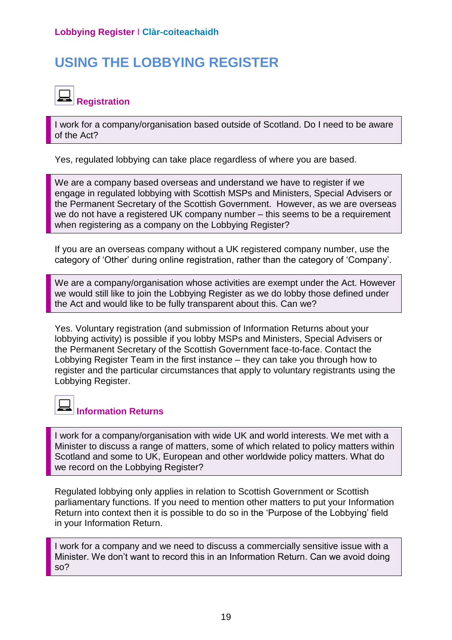### <span id="page-18-0"></span>**USING THE LOBBYING REGISTER**

<span id="page-18-1"></span>

I work for a company/organisation based outside of Scotland. Do I need to be aware of the Act?

Yes, regulated lobbying can take place regardless of where you are based.

We are a company based overseas and understand we have to register if we engage in regulated lobbying with Scottish MSPs and Ministers, Special Advisers or the Permanent Secretary of the Scottish Government. However, as we are overseas we do not have a registered UK company number – this seems to be a requirement when registering as a company on the Lobbying Register?

If you are an overseas company without a UK registered company number, use the category of 'Other' during online registration, rather than the category of 'Company'.

We are a company/organisation whose activities are exempt under the Act. However we would still like to join the Lobbying Register as we do lobby those defined under the Act and would like to be fully transparent about this. Can we?

Yes. Voluntary registration (and submission of Information Returns about your lobbying activity) is possible if you lobby MSPs and Ministers, Special Advisers or the Permanent Secretary of the Scottish Government face-to-face. Contact the Lobbying Register Team in the first instance – they can take you through how to register and the particular circumstances that apply to voluntary registrants using the Lobbying Register.

### **Information Returns**

I work for a company/organisation with wide UK and world interests. We met with a Minister to discuss a range of matters, some of which related to policy matters within Scotland and some to UK, European and other worldwide policy matters. What do we record on the Lobbying Register?

Regulated lobbying only applies in relation to Scottish Government or Scottish parliamentary functions. If you need to mention other matters to put your Information Return into context then it is possible to do so in the 'Purpose of the Lobbying' field in your Information Return.

I work for a company and we need to discuss a commercially sensitive issue with a Minister. We don't want to record this in an Information Return. Can we avoid doing so?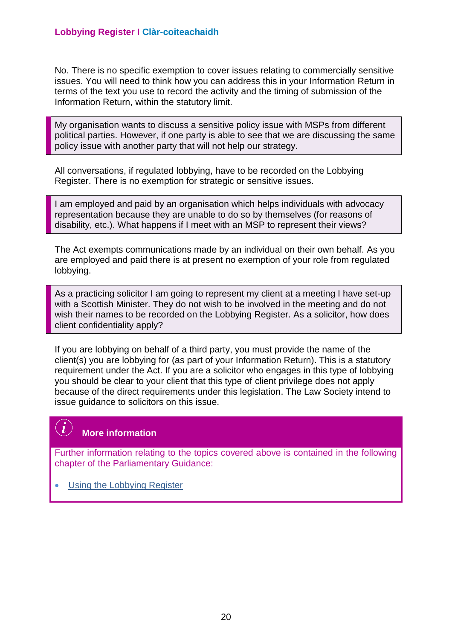No. There is no specific exemption to cover issues relating to commercially sensitive issues. You will need to think how you can address this in your Information Return in terms of the text you use to record the activity and the timing of submission of the Information Return, within the statutory limit.

My organisation wants to discuss a sensitive policy issue with MSPs from different political parties. However, if one party is able to see that we are discussing the same policy issue with another party that will not help our strategy.

All conversations, if regulated lobbying, have to be recorded on the Lobbying Register. There is no exemption for strategic or sensitive issues.

I am employed and paid by an organisation which helps individuals with advocacy representation because they are unable to do so by themselves (for reasons of disability, etc.). What happens if I meet with an MSP to represent their views?

The Act exempts communications made by an individual on their own behalf. As you are employed and paid there is at present no exemption of your role from regulated lobbying.

As a practicing solicitor I am going to represent my client at a meeting I have set-up with a Scottish Minister. They do not wish to be involved in the meeting and do not wish their names to be recorded on the Lobbying Register. As a solicitor, how does client confidentiality apply?

If you are lobbying on behalf of a third party, you must provide the name of the client(s) you are lobbying for (as part of your Information Return). This is a statutory requirement under the Act. If you are a solicitor who engages in this type of lobbying you should be clear to your client that this type of client privilege does not apply because of the direct requirements under this legislation. The Law Society intend to issue guidance to solicitors on this issue.

#### **More information**

 $\mathbf{i}$ 

Further information relating to the topics covered above is contained in the following chapter of the Parliamentary Guidance:

[Using the Lobbying Register](http://www.scottish.parliament.uk/gettinginvolved/105978.aspx)